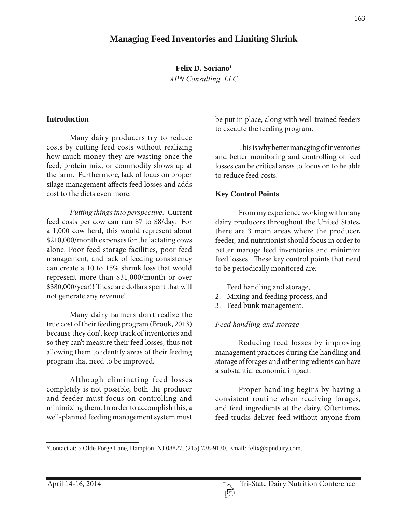# **Managing Feed Inventories and Limiting Shrink**

**Felix D. Soriano1**

*APN Consulting, LLC*

#### **Introduction**

Many dairy producers try to reduce costs by cutting feed costs without realizing how much money they are wasting once the feed, protein mix, or commodity shows up at the farm. Furthermore, lack of focus on proper silage management affects feed losses and adds cost to the diets even more.

*Putting things into perspective:* Current feed costs per cow can run \$7 to \$8/day. For a 1,000 cow herd, this would represent about \$210,000/month expenses for the lactating cows alone. Poor feed storage facilities, poor feed management, and lack of feeding consistency can create a 10 to 15% shrink loss that would represent more than \$31,000/month or over \$380,000/year!! These are dollars spent that will not generate any revenue!

Many dairy farmers don't realize the true cost of their feeding program (Brouk, 2013) because they don't keep track of inventories and so they can't measure their feed losses, thus not allowing them to identify areas of their feeding program that need to be improved.

Although eliminating feed losses completely is not possible, both the producer and feeder must focus on controlling and minimizing them. In order to accomplish this, a well-planned feeding management system must

be put in place, along with well-trained feeders to execute the feeding program.

This is why better managing of inventories and better monitoring and controlling of feed losses can be critical areas to focus on to be able to reduce feed costs.

#### **Key Control Points**

From my experience working with many dairy producers throughout the United States, there are 3 main areas where the producer, feeder, and nutritionist should focus in order to better manage feed inventories and minimize feed losses. These key control points that need to be periodically monitored are:

- 1. Feed handling and storage,
- 2. Mixing and feeding process, and
- 3. Feed bunk management.

#### *Feed handling and storage*

Reducing feed losses by improving management practices during the handling and storage of forages and other ingredients can have a substantial economic impact.

Proper handling begins by having a consistent routine when receiving forages, and feed ingredients at the dairy. Oftentimes, feed trucks deliver feed without anyone from

<sup>1</sup> Contact at: 5 Olde Forge Lane, Hampton, NJ 08827, (215) 738-9130, Email: felix@apndairy.com.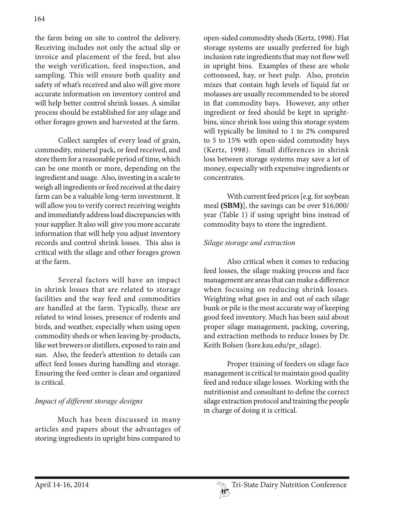the farm being on site to control the delivery. Receiving includes not only the actual slip or invoice and placement of the feed, but also the weigh verification, feed inspection, and sampling. This will ensure both quality and safety of what's received and also will give more accurate information on inventory control and will help better control shrink losses. A similar process should be established for any silage and other forages grown and harvested at the farm.

Collect samples of every load of grain, commodity, mineral pack, or feed received, and store them for a reasonable period of time, which can be one month or more, depending on the ingredient and usage. Also, investing in a scale to weigh all ingredients or feed received at the dairy farm can be a valuable long-term investment. It will allow you to verify correct receiving weights and immediately address load discrepancies with your supplier. It also will give you more accurate information that will help you adjust inventory records and control shrink losses. This also is critical with the silage and other forages grown at the farm.

Several factors will have an impact in shrink losses that are related to storage facilities and the way feed and commodities are handled at the farm. Typically, these are related to wind losses, presence of rodents and birds, and weather, especially when using open commodity sheds or when leaving by-products, like wet brewers or distillers, exposed to rain and sun. Also, the feeder's attention to details can affect feed losses during handling and storage. Ensuring the feed center is clean and organized is critical.

## *Impact of different storage designs*

 Much has been discussed in many articles and papers about the advantages of storing ingredients in upright bins compared to

open-sided commodity sheds (Kertz, 1998). Flat storage systems are usually preferred for high inclusion rate ingredients that may not flow well in upright bins. Examples of these are whole cottonseed, hay, or beet pulp. Also, protein mixes that contain high levels of liquid fat or molasses are usually recommended to be stored in flat commodity bays. However, any other ingredient or feed should be kept in uprightbins, since shrink loss using this storage system will typically be limited to 1 to 2% compared to 5 to 15% with open-sided commodity bays (Kertz, 1998). Small differences in shrink loss between storage systems may save a lot of money, especially with expensive ingredients or concentrates.

With current feed prices [e.g. for soybean meal **(SBM)**], the savings can be over \$16,000/ year (Table 1) if using upright bins instead of commodity bays to store the ingredient.

### *Silage storage and extraction*

Also critical when it comes to reducing feed losses, the silage making process and face management are areas that can make a difference when focusing on reducing shrink losses. Weighting what goes in and out of each silage bunk or pile is the most accurate way of keeping good feed inventory. Much has been said about proper silage management, packing, covering, and extraction methods to reduce losses by Dr. Keith Bolsen (ksre.ksu.edu/pr\_silage).

Proper training of feeders on silage face management is critical to maintain good quality feed and reduce silage losses. Working with the nutritionist and consultant to define the correct silage extraction protocol and training the people in charge of doing it is critical.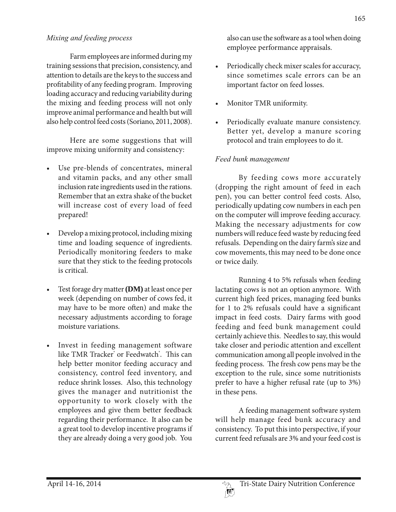#### *Mixing and feeding process*

Farm employees are informed during my training sessions that precision, consistency, and attention to details are the keys to the success and profitability of any feeding program. Improving loading accuracy and reducing variability during the mixing and feeding process will not only improve animal performance and health but will also help control feed costs (Soriano, 2011, 2008).

Here are some suggestions that will improve mixing uniformity and consistency:

- Use pre-blends of concentrates, mineral and vitamin packs, and any other small inclusion rate ingredients used in the rations. Remember that an extra shake of the bucket will increase cost of every load of feed prepared!
- Develop a mixing protocol, including mixing time and loading sequence of ingredients. Periodically monitoring feeders to make sure that they stick to the feeding protocols is critical.
- Test forage dry matter (**DM**) at least once per week (depending on number of cows fed, it may have to be more often) and make the necessary adjustments according to forage moisture variations.
- Invest in feeding management software like TMR Tracker<sup>®</sup> or Feedwatch®. This can help better monitor feeding accuracy and consistency, control feed inventory, and reduce shrink losses. Also, this technology gives the manager and nutritionist the opportunity to work closely with the employees and give them better feedback regarding their performance. It also can be a great tool to develop incentive programs if they are already doing a very good job. You

also can use the software as a tool when doing employee performance appraisals.

- Periodically check mixer scales for accuracy, since sometimes scale errors can be an important factor on feed losses.
- Monitor TMR uniformity.
- Periodically evaluate manure consistency. Better yet, develop a manure scoring protocol and train employees to do it.

### *Feed bunk management*

By feeding cows more accurately (dropping the right amount of feed in each pen), you can better control feed costs. Also, periodically updating cow numbers in each pen on the computer will improve feeding accuracy. Making the necessary adjustments for cow numbers will reduce feed waste by reducing feed refusals. Depending on the dairy farm's size and cow movements, this may need to be done once or twice daily.

Running 4 to 5% refusals when feeding lactating cows is not an option anymore. With current high feed prices, managing feed bunks for 1 to 2% refusals could have a significant impact in feed costs. Dairy farms with good feeding and feed bunk management could certainly achieve this. Needles to say, this would take closer and periodic attention and excellent communication among all people involved in the feeding process. The fresh cow pens may be the exception to the rule, since some nutritionists prefer to have a higher refusal rate (up to 3%) in these pens.

A feeding management software system will help manage feed bunk accuracy and consistency. To put this into perspective, if your current feed refusals are 3% and your feed cost is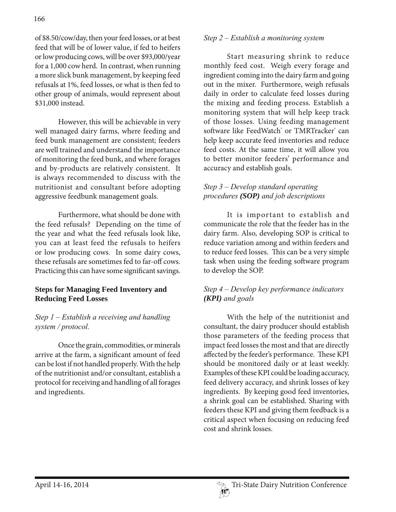of \$8.50/cow/day, then your feed losses, or at best feed that will be of lower value, if fed to heifers or low producing cows, will be over \$93,000/year for a 1,000 cow herd. In contrast, when running a more slick bunk management, by keeping feed refusals at 1%, feed losses, or what is then fed to other group of animals, would represent about \$31,000 instead.

However, this will be achievable in very well managed dairy farms, where feeding and feed bunk management are consistent; feeders are well trained and understand the importance of monitoring the feed bunk, and where forages and by-products are relatively consistent. It is always recommended to discuss with the nutritionist and consultant before adopting aggressive feedbunk management goals.

Furthermore, what should be done with the feed refusals? Depending on the time of the year and what the feed refusals look like, you can at least feed the refusals to heifers or low producing cows. In some dairy cows, these refusals are sometimes fed to far-off cows. Practicing this can have some significant savings.

### **Steps for Managing Feed Inventory and Reducing Feed Losses**

### *Step ± (stablish a receiving and handling system / protocol.*

Once the grain, commodities, or minerals arrive at the farm, a significant amount of feed can be lost if not handled properly. With the help of the nutritionist and/or consultant, establish a protocol for receiving and handling of all forages and ingredients.

## *Step 2 – Establish a monitoring system*

Start measuring shrink to reduce monthly feed cost. Weigh every forage and ingredient coming into the dairy farm and going out in the mixer. Furthermore, weigh refusals daily in order to calculate feed losses during the mixing and feeding process. Establish a monitoring system that will help keep track of those losses. Using feeding management software like FeedWatch® or TMRTracker® can help keep accurate feed inventories and reduce feed costs. At the same time, it will allow you to better monitor feeders' performance and accuracy and establish goals.

## *Step ± 'evelop standard operating procedures (SOP) and job descriptions*

It is important to establish and communicate the role that the feeder has in the dairy farm. Also, developing SOP is critical to reduce variation among and within feeders and to reduce feed losses. This can be a very simple task when using the feeding software program to develop the SOP.

## *Step ± 'evelop key performance indicators (KPI) and goals*

With the help of the nutritionist and consultant, the dairy producer should establish those parameters of the feeding process that impact feed losses the most and that are directly affected by the feeder's performance. These KPI should be monitored daily or at least weekly. Examples of these KPI could be loading accuracy, feed delivery accuracy, and shrink losses of key ingredients. By keeping good feed inventories, a shrink goal can be established. Sharing with feeders these KPI and giving them feedback is a critical aspect when focusing on reducing feed cost and shrink losses.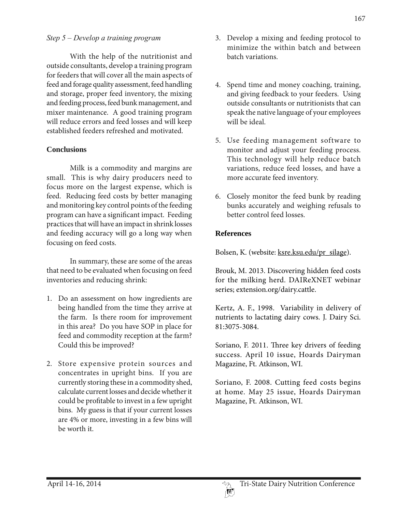#### *Step ± 'evelop a training program*

With the help of the nutritionist and outside consultants, develop a training program for feeders that will cover all the main aspects of feed and forage quality assessment, feed handling and storage, proper feed inventory, the mixing and feeding process, feed bunk management, and mixer maintenance. A good training program will reduce errors and feed losses and will keep established feeders refreshed and motivated.

### **Conclusions**

Milk is a commodity and margins are small. This is why dairy producers need to focus more on the largest expense, which is feed. Reducing feed costs by better managing and monitoring key control points of the feeding program can have a significant impact. Feeding practices that will have an impact in shrink losses and feeding accuracy will go a long way when focusing on feed costs.

In summary, these are some of the areas that need to be evaluated when focusing on feed inventories and reducing shrink:

- 1. Do an assessment on how ingredients are being handled from the time they arrive at the farm. Is there room for improvement in this area? Do you have SOP in place for feed and commodity reception at the farm? Could this be improved?
- 2. Store expensive protein sources and concentrates in upright bins. If you are currently storing these in a commodity shed, calculate current losses and decide whether it could be profitable to invest in a few upright bins. My guess is that if your current losses are 4% or more, investing in a few bins will be worth it.
- 3. Develop a mixing and feeding protocol to minimize the within batch and between batch variations.
- 4. Spend time and money coaching, training, and giving feedback to your feeders. Using outside consultants or nutritionists that can speak the native language of your employees will be ideal.
- 5. Use feeding management software to monitor and adjust your feeding process. This technology will help reduce batch variations, reduce feed losses, and have a more accurate feed inventory.
- 6. Closely monitor the feed bunk by reading bunks accurately and weighing refusals to better control feed losses.

#### **References**

Bolsen, K. (website: ksre.ksu.edu/pr\_silage).

Brouk, M. 2013. Discovering hidden feed costs for the milking herd. DAIReXNET webinar series; extension.org/dairy.cattle.

Kertz, A. F., 1998. Variability in delivery of nutrients to lactating dairy cows. J. Dairy Sci. 81:3075-3084.

Soriano, F. 2011. Three key drivers of feeding success. April 10 issue, Hoards Dairyman Magazine, Ft. Atkinson, WI.

Soriano, F. 2008. Cutting feed costs begins at home. May 25 issue, Hoards Dairyman Magazine, Ft. Atkinson, WI.